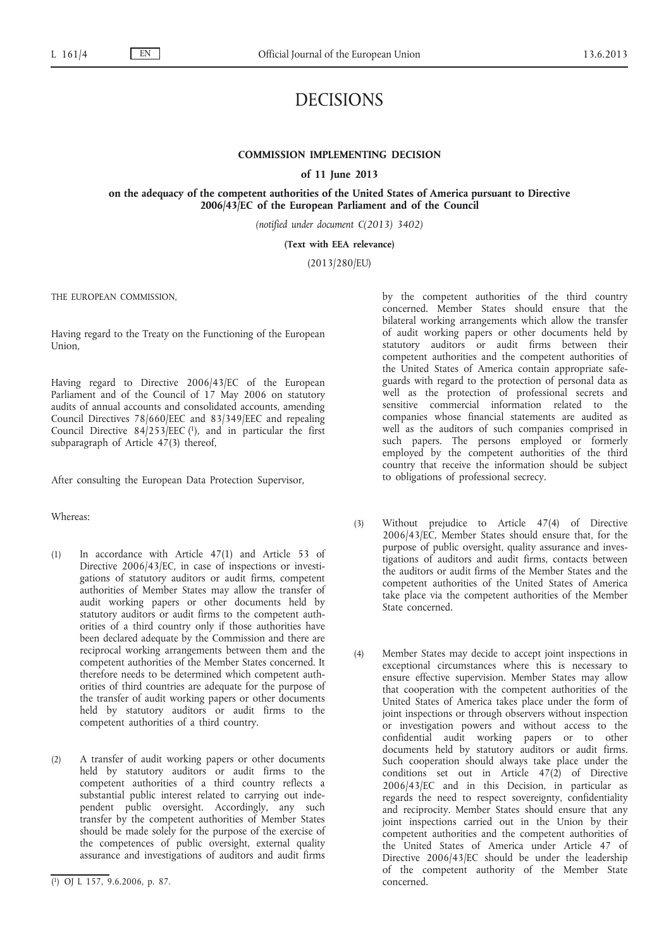# DECISIONS

# **COMMISSION IMPLEMENTING DECISION**

**of 11 June 2013**

**on the adequacy of the competent authorities of the United States of America pursuant to Directive 2006/43/EC of the European Parliament and of the Council**

*(notified under document C(2013) 3402)*

**(Text with EEA relevance)**

(2013/280/EU)

THE EUROPEAN COMMISSION,

Having regard to the Treaty on the Functioning of the European Union,

Having regard to Directive 2006/43/EC of the European Parliament and of the Council of 17 May 2006 on statutory audits of annual accounts and consolidated accounts, amending Council Directives 78/660/EEC and 83/349/EEC and repealing Council Directive  $84/253/EEC$  (1), and in particular the first subparagraph of Article 47(3) thereof,

After consulting the European Data Protection Supervisor,

## Whereas:

- (1) In accordance with Article 47(1) and Article 53 of Directive 2006/43/EC, in case of inspections or investigations of statutory auditors or audit firms, competent authorities of Member States may allow the transfer of audit working papers or other documents held by statutory auditors or audit firms to the competent authorities of a third country only if those authorities have been declared adequate by the Commission and there are reciprocal working arrangements between them and the competent authorities of the Member States concerned. It therefore needs to be determined which competent authorities of third countries are adequate for the purpose of the transfer of audit working papers or other documents held by statutory auditors or audit firms to the competent authorities of a third country.
- (2) A transfer of audit working papers or other documents held by statutory auditors or audit firms to the competent authorities of a third country reflects a substantial public interest related to carrying out independent public oversight. Accordingly, any such transfer by the competent authorities of Member States should be made solely for the purpose of the exercise of the competences of public oversight, external quality assurance and investigations of auditors and audit firms

by the competent authorities of the third country concerned. Member States should ensure that the bilateral working arrangements which allow the transfer of audit working papers or other documents held by statutory auditors or audit firms between their competent authorities and the competent authorities of the United States of America contain appropriate safeguards with regard to the protection of personal data as well as the protection of professional secrets and sensitive commercial information related to the companies whose financial statements are audited as well as the auditors of such companies comprised in such papers. The persons employed or formerly employed by the competent authorities of the third country that receive the information should be subject to obligations of professional secrecy.

- (3) Without prejudice to Article 47(4) of Directive 2006/43/EC, Member States should ensure that, for the purpose of public oversight, quality assurance and investigations of auditors and audit firms, contacts between the auditors or audit firms of the Member States and the competent authorities of the United States of America take place via the competent authorities of the Member State concerned.
- (4) Member States may decide to accept joint inspections in exceptional circumstances where this is necessary to ensure effective supervision. Member States may allow that cooperation with the competent authorities of the United States of America takes place under the form of joint inspections or through observers without inspection or investigation powers and without access to the confidential audit working papers or to other documents held by statutory auditors or audit firms. Such cooperation should always take place under the conditions set out in Article 47(2) of Directive 2006/43/EC and in this Decision, in particular as regards the need to respect sovereignty, confidentiality and reciprocity. Member States should ensure that any joint inspections carried out in the Union by their competent authorities and the competent authorities of the United States of America under Article 47 of Directive 2006/43/EC should be under the leadership of the competent authority of the Member State concerned.

<sup>(</sup> 1) OJ L 157, 9.6.2006, p. 87.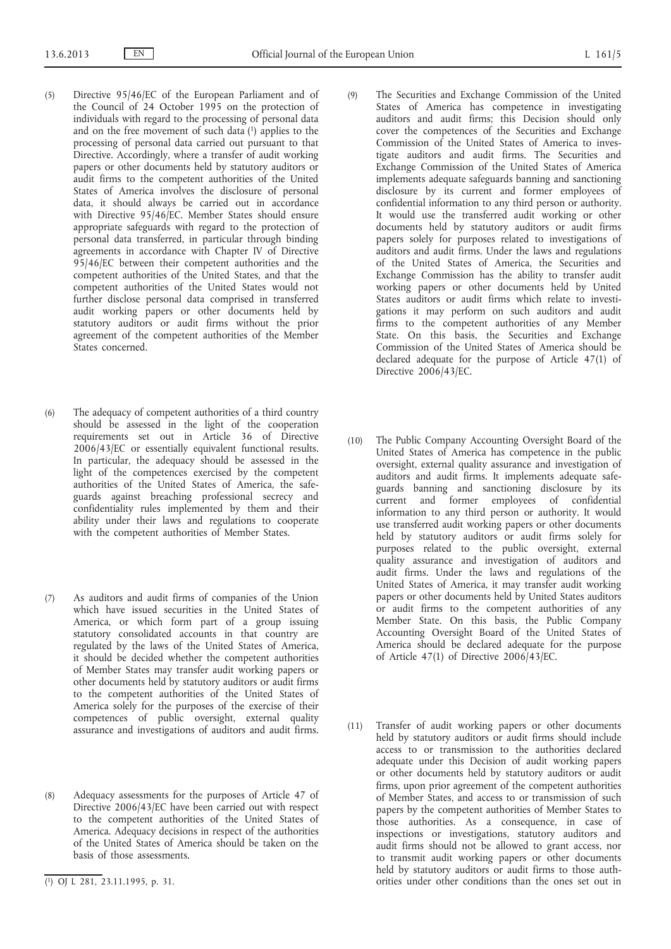- (5) Directive 95/46/EC of the European Parliament and of the Council of 24 October 1995 on the protection of individuals with regard to the processing of personal data and on the free movement of such data  $(1)$  applies to the processing of personal data carried out pursuant to that Directive. Accordingly, where a transfer of audit working papers or other documents held by statutory auditors or audit firms to the competent authorities of the United States of America involves the disclosure of personal data, it should always be carried out in accordance with Directive 95/46/EC. Member States should ensure appropriate safeguards with regard to the protection of personal data transferred, in particular through binding agreements in accordance with Chapter IV of Directive 95/46/EC between their competent authorities and the competent authorities of the United States, and that the competent authorities of the United States would not further disclose personal data comprised in transferred audit working papers or other documents held by statutory auditors or audit firms without the prior agreement of the competent authorities of the Member States concerned.
- (6) The adequacy of competent authorities of a third country should be assessed in the light of the cooperation requirements set out in Article 36 of Directive 2006/43/EC or essentially equivalent functional results. In particular, the adequacy should be assessed in the light of the competences exercised by the competent authorities of the United States of America, the safeguards against breaching professional secrecy and confidentiality rules implemented by them and their ability under their laws and regulations to cooperate with the competent authorities of Member States.
- (7) As auditors and audit firms of companies of the Union which have issued securities in the United States of America, or which form part of a group issuing statutory consolidated accounts in that country are regulated by the laws of the United States of America, it should be decided whether the competent authorities of Member States may transfer audit working papers or other documents held by statutory auditors or audit firms to the competent authorities of the United States of America solely for the purposes of the exercise of their competences of public oversight, external quality assurance and investigations of auditors and audit firms.
- (8) Adequacy assessments for the purposes of Article 47 of Directive 2006/43/EC have been carried out with respect to the competent authorities of the United States of America. Adequacy decisions in respect of the authorities of the United States of America should be taken on the basis of those assessments.
- (9) The Securities and Exchange Commission of the United States of America has competence in investigating auditors and audit firms; this Decision should only cover the competences of the Securities and Exchange Commission of the United States of America to investigate auditors and audit firms. The Securities and Exchange Commission of the United States of America implements adequate safeguards banning and sanctioning disclosure by its current and former employees of confidential information to any third person or authority. It would use the transferred audit working or other documents held by statutory auditors or audit firms papers solely for purposes related to investigations of auditors and audit firms. Under the laws and regulations of the United States of America, the Securities and Exchange Commission has the ability to transfer audit working papers or other documents held by United States auditors or audit firms which relate to investigations it may perform on such auditors and audit firms to the competent authorities of any Member State. On this basis, the Securities and Exchange Commission of the United States of America should be declared adequate for the purpose of Article 47(1) of Directive 2006/43/EC.
- (10) The Public Company Accounting Oversight Board of the United States of America has competence in the public oversight, external quality assurance and investigation of auditors and audit firms. It implements adequate safeguards banning and sanctioning disclosure by its current and former employees of confidential information to any third person or authority. It would use transferred audit working papers or other documents held by statutory auditors or audit firms solely for purposes related to the public oversight, external quality assurance and investigation of auditors and audit firms. Under the laws and regulations of the United States of America, it may transfer audit working papers or other documents held by United States auditors or audit firms to the competent authorities of any Member State. On this basis, the Public Company Accounting Oversight Board of the United States of America should be declared adequate for the purpose of Article 47(1) of Directive  $2006/43$ /EC.
- (11) Transfer of audit working papers or other documents held by statutory auditors or audit firms should include access to or transmission to the authorities declared adequate under this Decision of audit working papers or other documents held by statutory auditors or audit firms, upon prior agreement of the competent authorities of Member States, and access to or transmission of such papers by the competent authorities of Member States to those authorities. As a consequence, in case of inspections or investigations, statutory auditors and audit firms should not be allowed to grant access, nor to transmit audit working papers or other documents held by statutory auditors or audit firms to those authorities under other conditions than the ones set out in

<sup>(</sup> 1) OJ L 281, 23.11.1995, p. 31.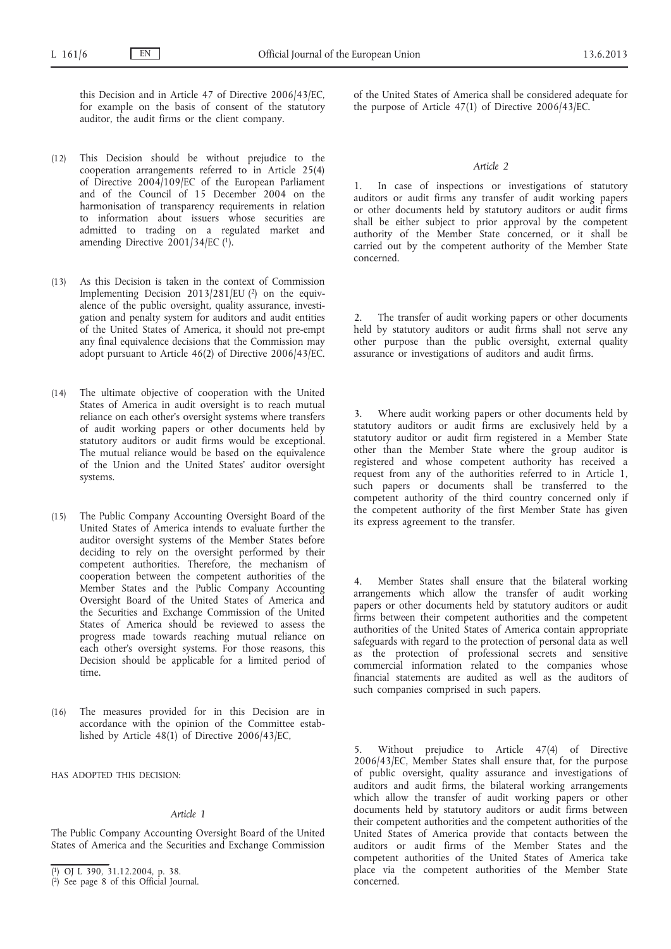this Decision and in Article 47 of Directive 2006/43/EC, for example on the basis of consent of the statutory auditor, the audit firms or the client company.

- (12) This Decision should be without prejudice to the cooperation arrangements referred to in Article 25(4) of Directive 2004/109/EC of the European Parliament and of the Council of 15 December 2004 on the harmonisation of transparency requirements in relation to information about issuers whose securities are admitted to trading on a regulated market and amending Directive 2001/34/EC (1).
- (13) As this Decision is taken in the context of Commission Implementing Decision  $2013/281/EU$  (2) on the equivalence of the public oversight, quality assurance, investigation and penalty system for auditors and audit entities of the United States of America, it should not pre-empt any final equivalence decisions that the Commission may adopt pursuant to Article 46(2) of Directive 2006/43/EC.
- (14) The ultimate objective of cooperation with the United States of America in audit oversight is to reach mutual reliance on each other's oversight systems where transfers of audit working papers or other documents held by statutory auditors or audit firms would be exceptional. The mutual reliance would be based on the equivalence of the Union and the United States' auditor oversight systems.
- (15) The Public Company Accounting Oversight Board of the United States of America intends to evaluate further the auditor oversight systems of the Member States before deciding to rely on the oversight performed by their competent authorities. Therefore, the mechanism of cooperation between the competent authorities of the Member States and the Public Company Accounting Oversight Board of the United States of America and the Securities and Exchange Commission of the United States of America should be reviewed to assess the progress made towards reaching mutual reliance on each other's oversight systems. For those reasons, this Decision should be applicable for a limited period of time.
- (16) The measures provided for in this Decision are in accordance with the opinion of the Committee established by Article 48(1) of Directive 2006/43/EC,

HAS ADOPTED THIS DECISION:

## *Article 1*

The Public Company Accounting Oversight Board of the United States of America and the Securities and Exchange Commission of the United States of America shall be considered adequate for the purpose of Article 47(1) of Directive 2006/43/EC.

#### *Article 2*

1. In case of inspections or investigations of statutory auditors or audit firms any transfer of audit working papers or other documents held by statutory auditors or audit firms shall be either subject to prior approval by the competent authority of the Member State concerned, or it shall be carried out by the competent authority of the Member State concerned.

2. The transfer of audit working papers or other documents held by statutory auditors or audit firms shall not serve any other purpose than the public oversight, external quality assurance or investigations of auditors and audit firms.

Where audit working papers or other documents held by statutory auditors or audit firms are exclusively held by a statutory auditor or audit firm registered in a Member State other than the Member State where the group auditor is registered and whose competent authority has received a request from any of the authorities referred to in Article 1, such papers or documents shall be transferred to the competent authority of the third country concerned only if the competent authority of the first Member State has given its express agreement to the transfer.

4. Member States shall ensure that the bilateral working arrangements which allow the transfer of audit working papers or other documents held by statutory auditors or audit firms between their competent authorities and the competent authorities of the United States of America contain appropriate safeguards with regard to the protection of personal data as well as the protection of professional secrets and sensitive commercial information related to the companies whose financial statements are audited as well as the auditors of such companies comprised in such papers.

Without prejudice to Article 47(4) of Directive 2006/43/EC, Member States shall ensure that, for the purpose of public oversight, quality assurance and investigations of auditors and audit firms, the bilateral working arrangements which allow the transfer of audit working papers or other documents held by statutory auditors or audit firms between their competent authorities and the competent authorities of the United States of America provide that contacts between the auditors or audit firms of the Member States and the competent authorities of the United States of America take place via the competent authorities of the Member State concerned.

<sup>(</sup> 1) OJ L 390, 31.12.2004, p. 38.

<sup>(</sup> 2) See page 8 of this Official Journal.